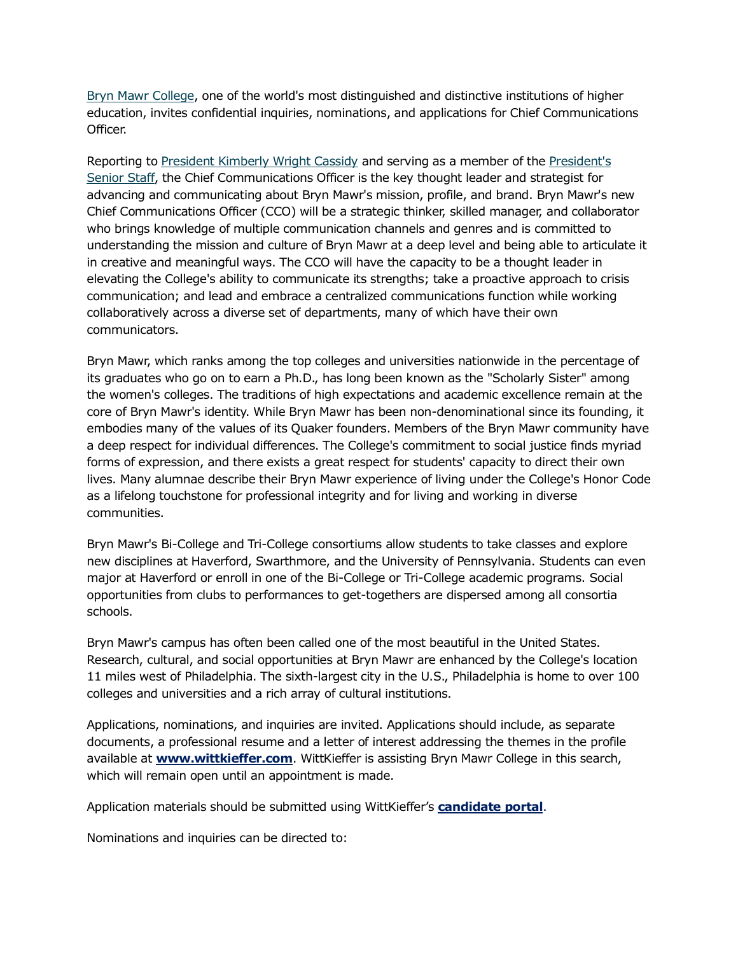[Bryn Mawr College,](https://www.brynmawr.edu/) one of the world's most distinguished and distinctive institutions of higher education, invites confidential inquiries, nominations, and applications for Chief Communications Officer.

Reporting t[o President Kimberly Wright Cassidy](https://www.brynmawr.edu/inside/offices-services/presidents-office/president-kim-cassidy) and serving as a member of the [President's](https://www.brynmawr.edu/inside/offices-services/presidents-office/senior-staff-presidents-office-staff)  [Senior Staff,](https://www.brynmawr.edu/inside/offices-services/presidents-office/senior-staff-presidents-office-staff) the Chief Communications Officer is the key thought leader and strategist for advancing and communicating about Bryn Mawr's mission, profile, and brand. Bryn Mawr's new Chief Communications Officer (CCO) will be a strategic thinker, skilled manager, and collaborator who brings knowledge of multiple communication channels and genres and is committed to understanding the mission and culture of Bryn Mawr at a deep level and being able to articulate it in creative and meaningful ways. The CCO will have the capacity to be a thought leader in elevating the College's ability to communicate its strengths; take a proactive approach to crisis communication; and lead and embrace a centralized communications function while working collaboratively across a diverse set of departments, many of which have their own communicators.

Bryn Mawr, which ranks among the top colleges and universities nationwide in the percentage of its graduates who go on to earn a Ph.D., has long been known as the "Scholarly Sister" among the women's colleges. The traditions of high expectations and academic excellence remain at the core of Bryn Mawr's identity. While Bryn Mawr has been non-denominational since its founding, it embodies many of the values of its Quaker founders. Members of the Bryn Mawr community have a deep respect for individual differences. The College's commitment to social justice finds myriad forms of expression, and there exists a great respect for students' capacity to direct their own lives. Many alumnae describe their Bryn Mawr experience of living under the College's Honor Code as a lifelong touchstone for professional integrity and for living and working in diverse communities.

Bryn Mawr's Bi-College and Tri-College consortiums allow students to take classes and explore new disciplines at Haverford, Swarthmore, and the University of Pennsylvania. Students can even major at Haverford or enroll in one of the Bi-College or Tri-College academic programs. Social opportunities from clubs to performances to get-togethers are dispersed among all consortia schools.

Bryn Mawr's campus has often been called one of the most beautiful in the United States. Research, cultural, and social opportunities at Bryn Mawr are enhanced by the College's location 11 miles west of Philadelphia. The sixth-largest city in the U.S., Philadelphia is home to over 100 colleges and universities and a rich array of cultural institutions.

Applications, nominations, and inquiries are invited. Applications should include, as separate documents, a professional resume and a letter of interest addressing the themes in the profile available at **[www.wittkieffer.com](https://www.wittkieffer.com/position/23439-chief-communications-officer/)**. WittKieffer is assisting Bryn Mawr College in this search, which will remain open until an appointment is made.

Application materials should be submitted using WittKieffer's **[candidate portal](https://candidateportal.wittkieffer.com/description?jobID=23439)**.

Nominations and inquiries can be directed to: